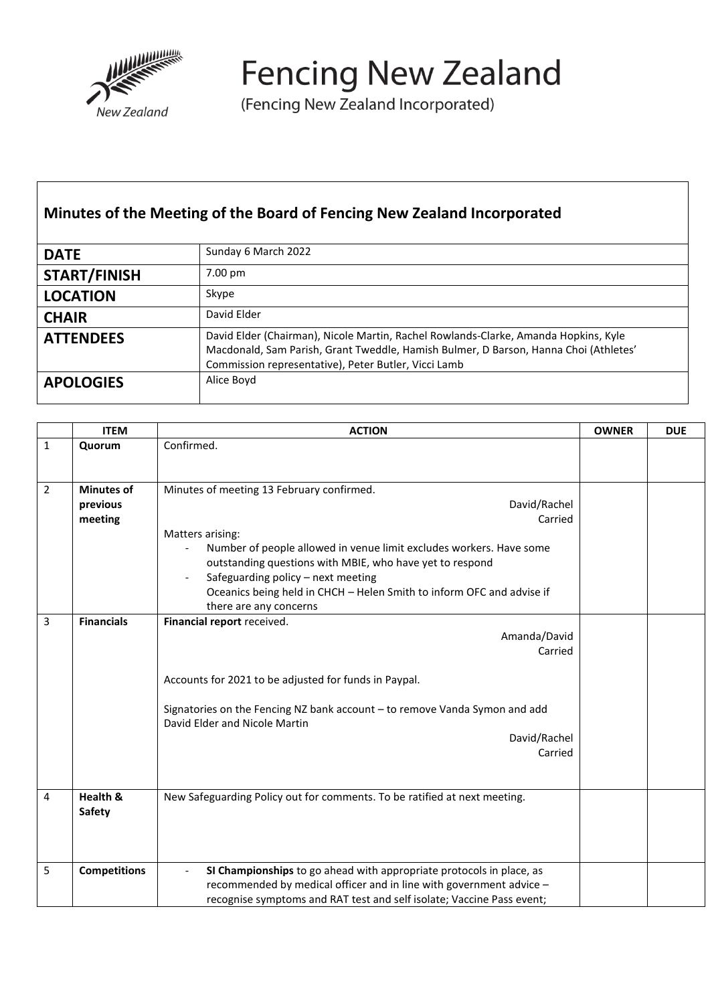

**Fencing New Zealand** 

(Fencing New Zealand Incorporated)

## **Minutes of the Meeting of the Board of Fencing New Zealand Incorporated**

| <b>DATE</b>         | Sunday 6 March 2022                                                                                                                                                                                                                 |
|---------------------|-------------------------------------------------------------------------------------------------------------------------------------------------------------------------------------------------------------------------------------|
| <b>START/FINISH</b> | 7.00 pm                                                                                                                                                                                                                             |
| <b>LOCATION</b>     | Skype                                                                                                                                                                                                                               |
| <b>CHAIR</b>        | David Elder                                                                                                                                                                                                                         |
| <b>ATTENDEES</b>    | David Elder (Chairman), Nicole Martin, Rachel Rowlands-Clarke, Amanda Hopkins, Kyle<br>Macdonald, Sam Parish, Grant Tweddle, Hamish Bulmer, D Barson, Hanna Choi (Athletes'<br>Commission representative), Peter Butler, Vicci Lamb |
| <b>APOLOGIES</b>    | Alice Boyd                                                                                                                                                                                                                          |

|                | <b>ITEM</b>                              | <b>ACTION</b>                                                                                                                                                                                                                                                                                                                                                        | <b>OWNER</b> | <b>DUE</b> |
|----------------|------------------------------------------|----------------------------------------------------------------------------------------------------------------------------------------------------------------------------------------------------------------------------------------------------------------------------------------------------------------------------------------------------------------------|--------------|------------|
| $\mathbf{1}$   | Quorum                                   | Confirmed.                                                                                                                                                                                                                                                                                                                                                           |              |            |
| $\overline{2}$ | <b>Minutes of</b><br>previous<br>meeting | Minutes of meeting 13 February confirmed.<br>David/Rachel<br>Carried<br>Matters arising:<br>Number of people allowed in venue limit excludes workers. Have some<br>outstanding questions with MBIE, who have yet to respond<br>Safeguarding policy - next meeting<br>Oceanics being held in CHCH - Helen Smith to inform OFC and advise if<br>there are any concerns |              |            |
| 3              | <b>Financials</b>                        | Financial report received.<br>Amanda/David<br>Carried<br>Accounts for 2021 to be adjusted for funds in Paypal.<br>Signatories on the Fencing NZ bank account - to remove Vanda Symon and add<br>David Elder and Nicole Martin<br>David/Rachel<br>Carried                                                                                                             |              |            |
| 4              | Health &<br>Safety                       | New Safeguarding Policy out for comments. To be ratified at next meeting.                                                                                                                                                                                                                                                                                            |              |            |
| 5              | <b>Competitions</b>                      | SI Championships to go ahead with appropriate protocols in place, as<br>recommended by medical officer and in line with government advice -<br>recognise symptoms and RAT test and self isolate; Vaccine Pass event;                                                                                                                                                 |              |            |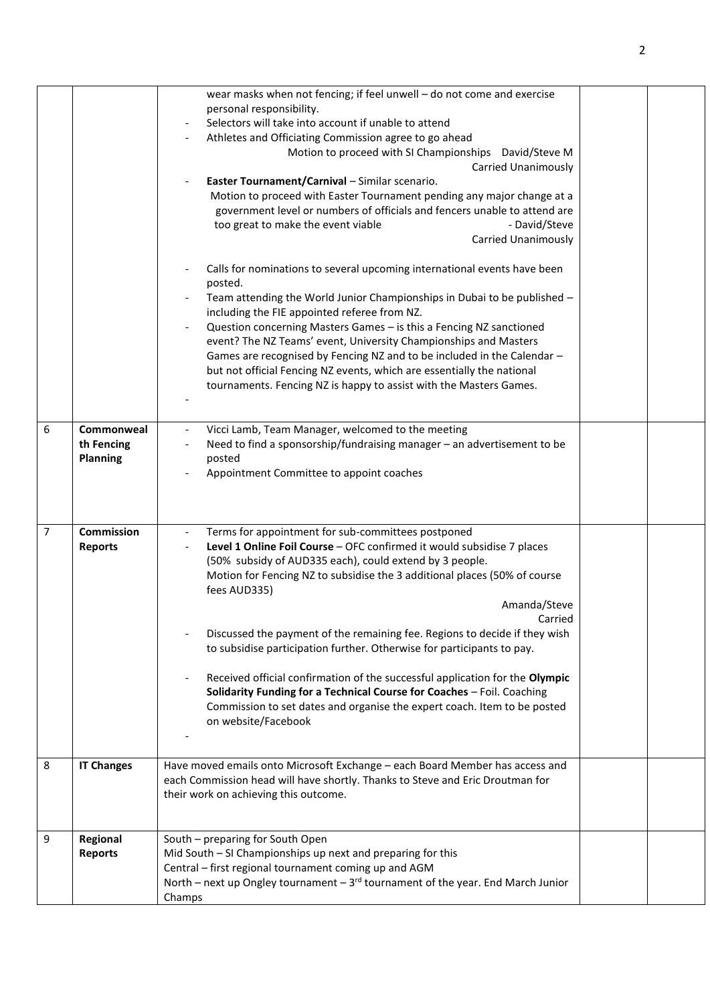|                |                                             | wear masks when not fencing; if feel unwell - do not come and exercise<br>personal responsibility.<br>Selectors will take into account if unable to attend<br>Athletes and Officiating Commission agree to go ahead<br>Motion to proceed with SI Championships David/Steve M<br><b>Carried Unanimously</b><br>Easter Tournament/Carnival - Similar scenario.<br>Motion to proceed with Easter Tournament pending any major change at a<br>government level or numbers of officials and fencers unable to attend are<br>- David/Steve<br>too great to make the event viable<br><b>Carried Unanimously</b><br>Calls for nominations to several upcoming international events have been                                                 |  |
|----------------|---------------------------------------------|--------------------------------------------------------------------------------------------------------------------------------------------------------------------------------------------------------------------------------------------------------------------------------------------------------------------------------------------------------------------------------------------------------------------------------------------------------------------------------------------------------------------------------------------------------------------------------------------------------------------------------------------------------------------------------------------------------------------------------------|--|
|                |                                             | posted.<br>Team attending the World Junior Championships in Dubai to be published -<br>including the FIE appointed referee from NZ.<br>Question concerning Masters Games - is this a Fencing NZ sanctioned<br>event? The NZ Teams' event, University Championships and Masters<br>Games are recognised by Fencing NZ and to be included in the Calendar -<br>but not official Fencing NZ events, which are essentially the national<br>tournaments. Fencing NZ is happy to assist with the Masters Games.                                                                                                                                                                                                                            |  |
| 6              | Commonweal<br>th Fencing<br><b>Planning</b> | Vicci Lamb, Team Manager, welcomed to the meeting<br>Need to find a sponsorship/fundraising manager - an advertisement to be<br>posted<br>Appointment Committee to appoint coaches                                                                                                                                                                                                                                                                                                                                                                                                                                                                                                                                                   |  |
| $\overline{7}$ | <b>Commission</b><br><b>Reports</b>         | Terms for appointment for sub-committees postponed<br>Level 1 Online Foil Course - OFC confirmed it would subsidise 7 places<br>(50% subsidy of AUD335 each), could extend by 3 people.<br>Motion for Fencing NZ to subsidise the 3 additional places (50% of course<br>fees AUD335)<br>Amanda/Steve<br>Carried<br>Discussed the payment of the remaining fee. Regions to decide if they wish<br>to subsidise participation further. Otherwise for participants to pay.<br>Received official confirmation of the successful application for the Olympic<br>Solidarity Funding for a Technical Course for Coaches - Foil. Coaching<br>Commission to set dates and organise the expert coach. Item to be posted<br>on website/Facebook |  |
| 8              | <b>IT Changes</b>                           | Have moved emails onto Microsoft Exchange - each Board Member has access and<br>each Commission head will have shortly. Thanks to Steve and Eric Droutman for<br>their work on achieving this outcome.                                                                                                                                                                                                                                                                                                                                                                                                                                                                                                                               |  |
| 9              | Regional<br><b>Reports</b>                  | South - preparing for South Open<br>Mid South - SI Championships up next and preparing for this<br>Central - first regional tournament coming up and AGM<br>North – next up Ongley tournament – $3^{rd}$ tournament of the year. End March Junior<br>Champs                                                                                                                                                                                                                                                                                                                                                                                                                                                                          |  |